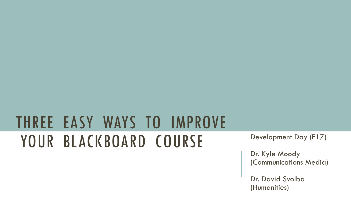# THREE EASY WAYS TO IMPROVE YOUR BLACKBOARD COURSE Development Day (F17)

Dr. Kyle Moody (Communications Media)

Dr. David Svolba (Humanities)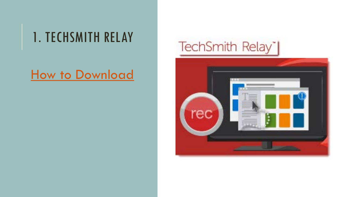## 1. TECHSMITH RELAY

### [How to Download](http://www.fitchburgstate.edu/academics/graduate-online-continuing-education/online-learning/distance-online-learning-faculty-resources/additional-tools/)

## TechSmith Relay\*|

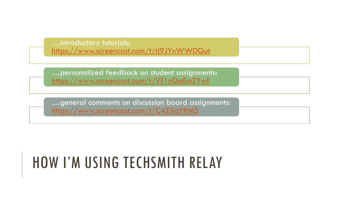…introductory tutorials: <https://www.screencast.com/t/tj9JYnWWDGut>

…personalized feedback on student assignments: <https://www.screencast.com/t/Vf1nQaEmZYwf>

…general comments on discussion board assignments: <https://www.screencast.com/t/C4Z9aYRM5>

## HOW I'M USING TECHSMITH RELAY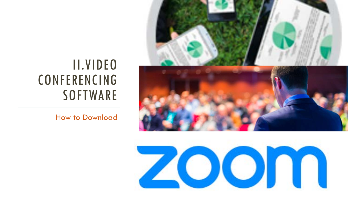## II.VIDEO CONFERENCING **SOFTWARE**

[How to Download](http://www.fitchburgstate.edu/offices-services-directory/technology/zoom-web-conferencing/)



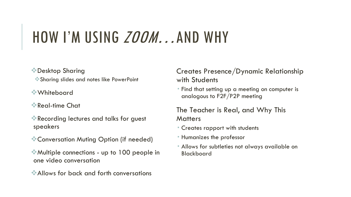## HOW I'M USING *ZOOM...*AND WHY

#### Desktop Sharing

Sharing slides and notes like PowerPoint

#### Whiteboard

- Real-time Chat
- Recording lectures and talks for guest speakers
- Conversation Muting Option (if needed)
- Multiple connections up to 100 people in one video conversation
- Allows for back and forth conversations

#### Creates Presence/Dynamic Relationship with Students

 Find that setting up a meeting on computer is analogous to F2F/P2P meeting

#### The Teacher is Real, and Why This **Matters**

- Creates rapport with students
- Humanizes the professor
- Allows for subtleties not always available on Blackboard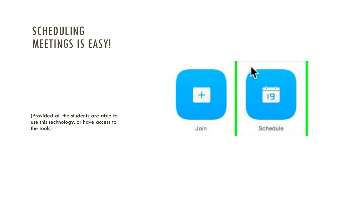### SCHEDULING MEETINGS IS EASY!



(Provided all the students are able to use this technology, or have access to the tools)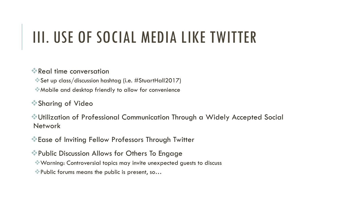# III. USE OF SOCIAL MEDIA LIKE TWITTER

#### Real time conversation

Set up class/discussion hashtag (i.e. #StuartHall2017)

Mobile and desktop friendly to allow for convenience

Sharing of Video

Utilization of Professional Communication Through a Widely Accepted Social **Network** 

Ease of Inviting Fellow Professors Through Twitter

Public Discussion Allows for Others To Engage

Warning: Controversial topics may invite unexpected guests to discuss

Public forums means the public is present, so…